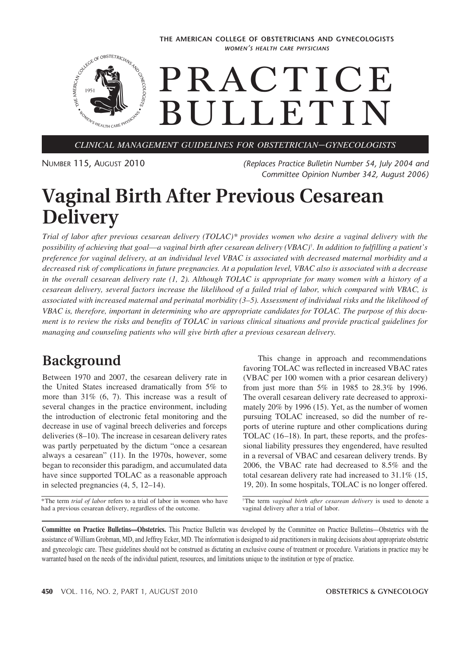

*clinical management guidelines for obstetrician–gynecologists*

Number 115, August 2010 *(Replaces Practice Bulletin Number 54, July 2004 and Committee Opinion Number 342, August 2006)*

# **Vaginal Birth After Previous Cesarean Delivery**

*Trial of labor after previous cesarean delivery (TOLAC)\* provides women who desire a vaginal delivery with the possibility of achieving that goal––a vaginal birth after cesarean delivery (VBAC)*† *. In addition to fulfilling a patient's preference for vaginal delivery, at an individual level VBAC is associated with decreased maternal morbidity and a decreased risk of complications in future pregnancies. At a population level, VBAC also is associated with a decrease in the overall cesarean delivery rate (1, 2). Although TOLAC is appropriate for many women with a history of a cesarean delivery, several factors increase the likelihood of a failed trial of labor, which compared with VBAC, is associated with increased maternal and perinatal morbidity (3–5). Assessment of individual risks and the likelihood of VBAC is, therefore, important in determining who are appropriate candidates for TOLAC. The purpose of this document is to review the risks and benefits of TOLAC in various clinical situations and provide practical guidelines for managing and counseling patients who will give birth after a previous cesarean delivery.*

# **Background**

Between 1970 and 2007, the cesarean delivery rate in the United States increased dramatically from 5% to more than 31% (6, 7). This increase was a result of several changes in the practice environment, including the introduction of electronic fetal monitoring and the decrease in use of vaginal breech deliveries and forceps deliveries (8–10). The increase in cesarean delivery rates was partly perpetuated by the dictum "once a cesarean always a cesarean" (11). In the 1970s, however, some began to reconsider this paradigm, and accumulated data have since supported TOLAC as a reasonable approach in selected pregnancies (4, 5, 12–14).

\*The term *trial of labor* refers to a trial of labor in women who have had a previous cesarean delivery, regardless of the outcome.

This change in approach and recommendations favoring TOLAC was reflected in increased VBAC rates (VBAC per 100 women with a prior cesarean delivery) from just more than 5% in 1985 to 28.3% by 1996. The overall cesarean delivery rate decreased to approximately 20% by 1996 (15). Yet, as the number of women pursuing TOLAC increased, so did the number of reports of uterine rupture and other complications during TOLAC (16–18). In part, these reports, and the professional liability pressures they engendered, have resulted in a reversal of VBAC and cesarean delivery trends. By 2006, the VBAC rate had decreased to 8.5% and the total cesarean delivery rate had increased to 31.1% (15, 19, 20). In some hospitals, TOLAC is no longer offered.

†The term *vaginal birth after cesarean delivery* is used to denote a vaginal delivery after a trial of labor.

**Committee on Practice Bulletins—Obstetrics.** This Practice Bulletin was developed by the Committee on Practice Bulletins—Obstetrics with the assistance of William Grobman, MD, and Jeffrey Ecker, MD. The information is designed to aid practitioners in making decisions about appropriate obstetric and gynecologic care. These guidelines should not be construed as dictating an exclusive course of treatment or procedure. Variations in practice may be warranted based on the needs of the individual patient, resources, and limitations unique to the institution or type of practice.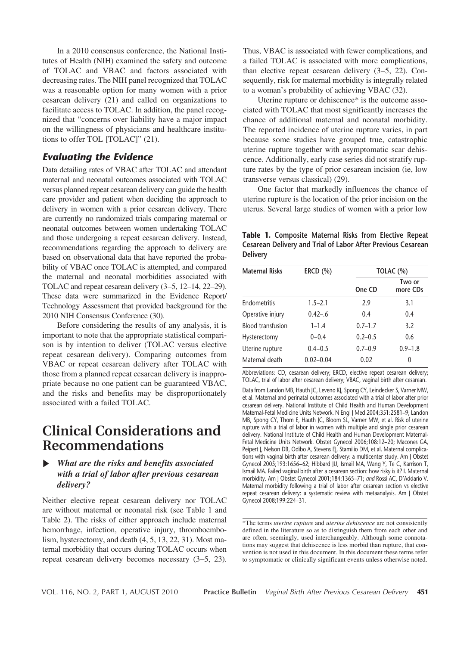In a 2010 consensus conference, the National Institutes of Health (NIH) examined the safety and outcome of TOLAC and VBAC and factors associated with decreasing rates. The NIH panel recognized that TOLAC was a reasonable option for many women with a prior cesarean delivery (21) and called on organizations to facilitate access to TOLAC. In addition, the panel recognized that "concerns over liability have a major impact on the willingness of physicians and healthcare institutions to offer TOL [TOLAC]" (21).

# *Evaluating the Evidence*

Data detailing rates of VBAC after TOLAC and attendant maternal and neonatal outcomes associated with TOLAC versus planned repeat cesarean delivery can guide the health care provider and patient when deciding the approach to delivery in women with a prior cesarean delivery. There are currently no randomized trials comparing maternal or neonatal outcomes between women undertaking TOLAC and those undergoing a repeat cesarean delivery. Instead, recommendations regarding the approach to delivery are based on observational data that have reported the probability of VBAC once TOLAC is attempted, and compared the maternal and neonatal morbidities associated with TOLAC and repeat cesarean delivery (3–5, 12–14, 22–29). These data were summarized in the Evidence Report/ Technology Assessment that provided background for the 2010 NIH Consensus Conference (30).

Before considering the results of any analysis, it is important to note that the appropriate statistical comparison is by intention to deliver (TOLAC versus elective repeat cesarean delivery). Comparing outcomes from VBAC or repeat cesarean delivery after TOLAC with those from a planned repeat cesarean delivery is inappropriate because no one patient can be guaranteed VBAC, and the risks and benefits may be disproportionately associated with a failed TOLAC.

# **Clinical Considerations and Recommendations**

# *What are the risks and benefits associated with a trial of labor after previous cesarean delivery?*

Neither elective repeat cesarean delivery nor TOLAC are without maternal or neonatal risk (see Table 1 and Table 2). The risks of either approach include maternal hemorrhage, infection, operative injury, thromboembolism, hysterectomy, and death (4, 5, 13, 22, 31). Most maternal morbidity that occurs during TOLAC occurs when repeat cesarean delivery becomes necessary (3–5, 23). Thus, VBAC is associated with fewer complications, and a failed TOLAC is associated with more complications, than elective repeat cesarean delivery (3–5, 22). Consequently, risk for maternal morbidity is integrally related to a woman's probability of achieving VBAC (32).

Uterine rupture or dehiscence\* is the outcome associated with TOLAC that most significantly increases the chance of additional maternal and neonatal morbidity. The reported incidence of uterine rupture varies, in part because some studies have grouped true, catastrophic uterine rupture together with asymptomatic scar dehiscence. Additionally, early case series did not stratify rupture rates by the type of prior cesarean incision (ie, low transverse versus classical) (29).

One factor that markedly influences the chance of uterine rupture is the location of the prior incision on the uterus. Several large studies of women with a prior low

**Table 1. Composite Maternal Risks from Elective Repeat Cesarean Delivery and Trial of Labor After Previous Cesarean Delivery**

| <b>Maternal Risks</b>    | ERCD $(%)$    |             | TOLAC $(\%)$       |
|--------------------------|---------------|-------------|--------------------|
|                          |               | One CD      | Two or<br>more CDs |
| Endometritis             | $1.5 - 2.1$   | 2.9         | 3.1                |
| Operative injury         | $0.42 - 0.6$  | 0.4         | 0.4                |
| <b>Blood transfusion</b> | $1 - 1.4$     | $0.7 - 1.7$ | 3.2                |
| Hysterectomy             | $0 - 0.4$     | $0.2 - 0.5$ | 0.6                |
| Uterine rupture          | $0.4 - 0.5$   | $0.7 - 0.9$ | $0.9 - 1.8$        |
| Maternal death           | $0.02 - 0.04$ | 0.02        | 0                  |

Abbreviations: CD, cesarean delivery; ERCD, elective repeat cesarean delivery; TOLAC, trial of labor after cesarean delivery; VBAC, vaginal birth after cesarean.

Data from Landon MB, Hauth JC, Leveno KJ, Spong CY, Leindecker S, Varner MW, et al. Maternal and perinatal outcomes associated with a trial of labor after prior cesarean delivery. National Institute of Child Health and Human Development Maternal-Fetal Medicine Units Network. N Engl J Med 2004;351:2581–9; Landon MB, Spong CY, Thom E, Hauth JC, Bloom SL, Varner MW, et al. Risk of uterine rupture with a trial of labor in women with multiple and single prior cesarean delivery. National Institute of Child Health and Human Development Maternal-Fetal Medicine Units Network. Obstet Gynecol 2006;108:12–20; Macones GA, Peipert J, Nelson DB, Odibo A, Stevens EJ, Stamilio DM, et al. Maternal complications with vaginal birth after cesarean delivery: a multicenter study. Am J Obstet Gynecol 2005;193:1656–62; Hibbard JU, Ismail MA, Wang Y, Te C, Karrison T, Ismail MA. Failed vaginal birth after a cesarean section: how risky is it? I. Maternal morbidity. Am J Obstet Gynecol 2001;184:1365–71; *and* Rossi AC, D'Addario V. Maternal morbidity following a trial of labor after cesarean section vs elective repeat cesarean delivery: a systematic review with metaanalysis. Am J Obstet Gynecol 2008;199:224–31.

\*The terms *uterine rupture* and *uterine dehiscence* are not consistently defined in the literature so as to distinguish them from each other and are often, seemingly, used interchangeably. Although some connotations may suggest that dehiscence is less morbid than rupture, that convention is not used in this document. In this document these terms refer to symptomatic or clinically significant events unless otherwise noted.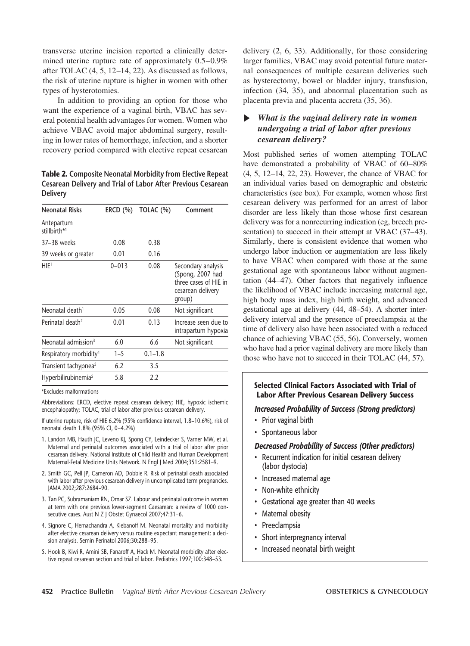transverse uterine incision reported a clinically determined uterine rupture rate of approximately 0.5–0.9% after TOLAC (4, 5, 12–14, 22). As discussed as follows, the risk of uterine rupture is higher in women with other types of hysterotomies.

In addition to providing an option for those who want the experience of a vaginal birth, VBAC has several potential health advantages for women. Women who achieve VBAC avoid major abdominal surgery, resulting in lower rates of hemorrhage, infection, and a shorter recovery period compared with elective repeat cesarean

**Table 2. Composite Neonatal Morbidity from Elective Repeat Cesarean Delivery and Trial of Labor After Previous Cesarean Delivery**

| <b>Neonatal Risks</b>                  | ERCD $(\% )$ | TOLAC $(% )$ | Comment                                                                                        |
|----------------------------------------|--------------|--------------|------------------------------------------------------------------------------------------------|
| Antepartum<br>stillbirth* <sup>1</sup> |              |              |                                                                                                |
| 37-38 weeks                            | 0.08         | 0.38         |                                                                                                |
| 39 weeks or greater                    | 0.01         | 0.16         |                                                                                                |
| HIE <sup>1</sup>                       | $0 - 013$    | 0.08         | Secondary analysis<br>(Spong, 2007 had<br>three cases of HIE in<br>cesarean delivery<br>group) |
| Neonatal death <sup>1</sup>            | 0.05         | 0.08         | Not significant                                                                                |
| Perinatal death <sup>2</sup>           | 0.01         | 0.13         | Increase seen due to<br>intrapartum hypoxia                                                    |
| Neonatal admission <sup>3</sup>        | 6.0          | 6.6          | Not significant                                                                                |
| Respiratory morbidity <sup>4</sup>     | $1 - 5$      | $0.1 - 1.8$  |                                                                                                |
| Transient tachypnea <sup>s</sup>       | 6.2          | 3.5          |                                                                                                |
| Hyperbilirubinemia <sup>5</sup>        | 5.8          | 2.2          |                                                                                                |

\*Excludes malformations

Abbreviations: ERCD, elective repeat cesarean delivery; HIE, hypoxic ischemic encephalopathy; TOLAC, trial of labor after previous cesarean delivery.

If uterine rupture, risk of HIE 6.2% (95% confidence interval, 1.8–10.6%), risk of neonatal death 1.8% (95% CI, 0–4.2%)

- 1. Landon MB, Hauth JC, Leveno KJ, Spong CY, Leindecker S, Varner MW, et al. Maternal and perinatal outcomes associated with a trial of labor after prior cesarean delivery. National Institute of Child Health and Human Development Maternal-Fetal Medicine Units Network. N Engl J Med 2004;351:2581–9.
- 2. Smith GC, Pell JP, Cameron AD, Dobbie R. Risk of perinatal death associated with labor after previous cesarean delivery in uncomplicated term pregnancies. JAMA 2002;287:2684–90.
- 3. Tan PC, Subramaniam RN, Omar SZ. Labour and perinatal outcome in women at term with one previous lower-segment Caesarean: a review of 1000 consecutive cases. Aust N Z J Obstet Gynaecol 2007;47:31–6.
- 4. Signore C, Hemachandra A, Klebanoff M. Neonatal mortality and morbidity after elective cesarean delivery versus routine expectant management: a decision analysis. Semin Perinatol 2006;30:288–95.
- 5. Hook B, Kiwi R, Amini SB, Fanaroff A, Hack M. Neonatal morbidity after elective repeat cesarean section and trial of labor. Pediatrics 1997;100:348–53.

delivery (2, 6, 33). Additionally, for those considering larger families, VBAC may avoid potential future maternal consequences of multiple cesarean deliveries such as hysterectomy, bowel or bladder injury, transfusion, infection (34, 35), and abnormal placentation such as placenta previa and placenta accreta (35, 36).

# *What is the vaginal delivery rate in women undergoing a trial of labor after previous cesarean delivery?*

Most published series of women attempting TOLAC have demonstrated a probability of VBAC of 60–80% (4, 5, 12–14, 22, 23). However, the chance of VBAC for an individual varies based on demographic and obstetric characteristics (see box). For example, women whose first cesarean delivery was performed for an arrest of labor disorder are less likely than those whose first cesarean delivery was for a nonrecurring indication (eg, breech presentation) to succeed in their attempt at VBAC (37–43). Similarly, there is consistent evidence that women who undergo labor induction or augmentation are less likely to have VBAC when compared with those at the same gestational age with spontaneous labor without augmentation (44–47). Other factors that negatively influence the likelihood of VBAC include increasing maternal age, high body mass index, high birth weight, and advanced gestational age at delivery (44, 48–54). A shorter interdelivery interval and the presence of preeclampsia at the time of delivery also have been associated with a reduced chance of achieving VBAC (55, 56). Conversely, women who have had a prior vaginal delivery are more likely than those who have not to succeed in their TOLAC (44, 57).

# **Selected Clinical Factors Associated with Trial of Labor After Previous Cesarean Delivery Success**

### *Increased Probability of Success (Strong predictors)*

- Prior vaginal birth
- Spontaneous labor

#### *Decreased Probability of Success (Other predictors)*

- Recurrent indication for initial cesarean delivery (labor dystocia)
- Increased maternal age
- Non-white ethnicity
- • Gestational age greater than 40 weeks
- Maternal obesity
- • Preeclampsia
- Short interpregnancy interval
- • Increased neonatal birth weight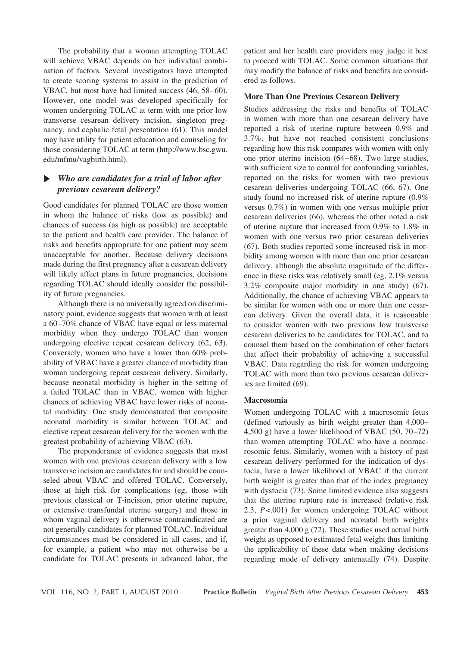The probability that a woman attempting TOLAC will achieve VBAC depends on her individual combination of factors. Several investigators have attempted to create scoring systems to assist in the prediction of VBAC, but most have had limited success (46, 58–60). However, one model was developed specifically for women undergoing TOLAC at term with one prior low transverse cesarean delivery incision, singleton pregnancy, and cephalic fetal presentation (61). This model may have utility for patient education and counseling for those considering TOLAC at term (http://www.bsc.gwu. edu/mfmu/vagbirth.html).

### *Who are candidates for a trial of labor after previous cesarean delivery?*

Good candidates for planned TOLAC are those women in whom the balance of risks (low as possible) and chances of success (as high as possible) are acceptable to the patient and health care provider. The balance of risks and benefits appropriate for one patient may seem unacceptable for another. Because delivery decisions made during the first pregnancy after a cesarean delivery will likely affect plans in future pregnancies, decisions regarding TOLAC should ideally consider the possibility of future pregnancies.

Although there is no universally agreed on discriminatory point, evidence suggests that women with at least a 60–70% chance of VBAC have equal or less maternal morbidity when they undergo TOLAC than women undergoing elective repeat cesarean delivery (62, 63). Conversely, women who have a lower than 60% probability of VBAC have a greater chance of morbidity than woman undergoing repeat cesarean delivery. Similarly, because neonatal morbidity is higher in the setting of a failed TOLAC than in VBAC, women with higher chances of achieving VBAC have lower risks of neonatal morbidity. One study demonstrated that composite neonatal morbidity is similar between TOLAC and elective repeat cesarean delivery for the women with the greatest probability of achieving VBAC (63).

The preponderance of evidence suggests that most women with one previous cesarean delivery with a low transverse incision are candidates for and should be counseled about VBAC and offered TOLAC. Conversely, those at high risk for complications (eg, those with previous classical or T-incision, prior uterine rupture, or extensive transfundal uterine surgery) and those in whom vaginal delivery is otherwise contraindicated are not generally candidates for planned TOLAC. Individual circumstances must be considered in all cases, and if, for example, a patient who may not otherwise be a candidate for TOLAC presents in advanced labor, the

patient and her health care providers may judge it best to proceed with TOLAC. Some common situations that may modify the balance of risks and benefits are considered as follows.

#### **More Than One Previous Cesarean Delivery**

Studies addressing the risks and benefits of TOLAC in women with more than one cesarean delivery have reported a risk of uterine rupture between 0.9% and 3.7%, but have not reached consistent conclusions regarding how this risk compares with women with only one prior uterine incision (64–68). Two large studies, with sufficient size to control for confounding variables, reported on the risks for women with two previous cesarean deliveries undergoing TOLAC (66, 67). One study found no increased risk of uterine rupture (0.9% versus 0.7%) in women with one versus multiple prior cesarean deliveries (66), whereas the other noted a risk of uterine rupture that increased from 0.9% to 1.8% in women with one versus two prior cesarean deliveries (67). Both studies reported some increased risk in morbidity among women with more than one prior cesarean delivery, although the absolute magnitude of the difference in these risks was relatively small (eg, 2.1% versus 3.2% composite major morbidity in one study) (67). Additionally, the chance of achieving VBAC appears to be similar for women with one or more than one cesarean delivery. Given the overall data, it is reasonable to consider women with two previous low transverse cesarean deliveries to be candidates for TOLAC, and to counsel them based on the combination of other factors that affect their probability of achieving a successful VBAC. Data regarding the risk for women undergoing TOLAC with more than two previous cesarean deliveries are limited (69).

#### **Macrosomia**

Women undergoing TOLAC with a macrosomic fetus (defined variously as birth weight greater than 4,000– 4,500 g) have a lower likelihood of VBAC (50, 70–72) than women attempting TOLAC who have a nonmacrosomic fetus. Similarly, women with a history of past cesarean delivery performed for the indication of dystocia, have a lower likelihood of VBAC if the current birth weight is greater than that of the index pregnancy with dystocia (73). Some limited evidence also suggests that the uterine rupture rate is increased (relative risk 2.3, *P*<.001) for women undergoing TOLAC without a prior vaginal delivery and neonatal birth weights greater than 4,000 g (72). These studies used actual birth weight as opposed to estimated fetal weight thus limiting the applicability of these data when making decisions regarding mode of delivery antenatally (74). Despite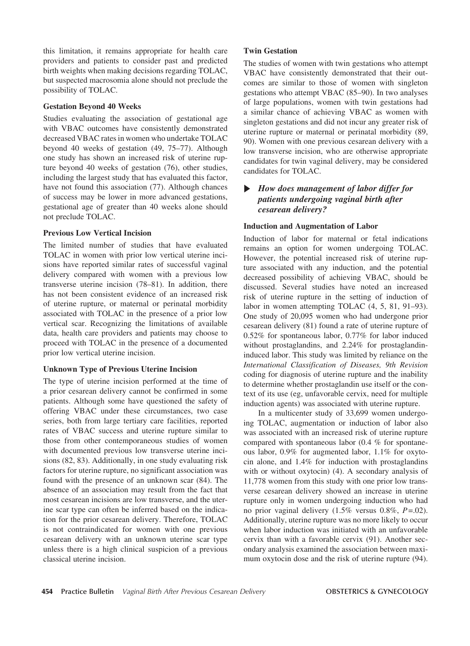this limitation, it remains appropriate for health care providers and patients to consider past and predicted birth weights when making decisions regarding TOLAC, but suspected macrosomia alone should not preclude the possibility of TOLAC.

#### **Gestation Beyond 40 Weeks**

Studies evaluating the association of gestational age with VBAC outcomes have consistently demonstrated decreased VBAC rates in women who undertake TOLAC beyond 40 weeks of gestation (49, 75–77). Although one study has shown an increased risk of uterine rupture beyond 40 weeks of gestation (76), other studies, including the largest study that has evaluated this factor, have not found this association (77). Although chances of success may be lower in more advanced gestations, gestational age of greater than 40 weeks alone should not preclude TOLAC.

#### **Previous Low Vertical Incision**

The limited number of studies that have evaluated TOLAC in women with prior low vertical uterine incisions have reported similar rates of successful vaginal delivery compared with women with a previous low transverse uterine incision (78–81). In addition, there has not been consistent evidence of an increased risk of uterine rupture, or maternal or perinatal morbidity associated with TOLAC in the presence of a prior low vertical scar. Recognizing the limitations of available data, health care providers and patients may choose to proceed with TOLAC in the presence of a documented prior low vertical uterine incision.

#### **Unknown Type of Previous Uterine Incision**

The type of uterine incision performed at the time of a prior cesarean delivery cannot be confirmed in some patients. Although some have questioned the safety of offering VBAC under these circumstances, two case series, both from large tertiary care facilities, reported rates of VBAC success and uterine rupture similar to those from other contemporaneous studies of women with documented previous low transverse uterine incisions (82, 83). Additionally, in one study evaluating risk factors for uterine rupture, no significant association was found with the presence of an unknown scar (84). The absence of an association may result from the fact that most cesarean incisions are low transverse, and the uterine scar type can often be inferred based on the indication for the prior cesarean delivery. Therefore, TOLAC is not contraindicated for women with one previous cesarean delivery with an unknown uterine scar type unless there is a high clinical suspicion of a previous classical uterine incision.

#### **Twin Gestation**

The studies of women with twin gestations who attempt VBAC have consistently demonstrated that their outcomes are similar to those of women with singleton gestations who attempt VBAC (85–90). In two analyses of large populations, women with twin gestations had a similar chance of achieving VBAC as women with singleton gestations and did not incur any greater risk of uterine rupture or maternal or perinatal morbidity (89, 90). Women with one previous cesarean delivery with a low transverse incision, who are otherwise appropriate candidates for twin vaginal delivery, may be considered candidates for TOLAC.

# *How does management of labor differ for patients undergoing vaginal birth after cesarean delivery?*

#### **Induction and Augmentation of Labor**

Induction of labor for maternal or fetal indications remains an option for women undergoing TOLAC. However, the potential increased risk of uterine rupture associated with any induction, and the potential decreased possibility of achieving VBAC, should be discussed. Several studies have noted an increased risk of uterine rupture in the setting of induction of labor in women attempting TOLAC (4, 5, 81, 91–93). One study of 20,095 women who had undergone prior cesarean delivery (81) found a rate of uterine rupture of 0.52% for spontaneous labor, 0.77% for labor induced without prostaglandins, and 2.24% for prostaglandininduced labor. This study was limited by reliance on the *International Classification of Diseases, 9th Revision*  coding for diagnosis of uterine rupture and the inability to determine whether prostaglandin use itself or the context of its use (eg, unfavorable cervix, need for multiple induction agents) was associated with uterine rupture.

In a multicenter study of 33,699 women undergoing TOLAC, augmentation or induction of labor also was associated with an increased risk of uterine rupture compared with spontaneous labor (0.4 % for spontaneous labor, 0.9% for augmented labor, 1.1% for oxytocin alone, and 1.4% for induction with prostaglandins with or without oxytocin) (4). A secondary analysis of 11,778 women from this study with one prior low transverse cesarean delivery showed an increase in uterine rupture only in women undergoing induction who had no prior vaginal delivery (1.5% versus 0.8%, *P*=.02). Additionally, uterine rupture was no more likely to occur when labor induction was initiated with an unfavorable cervix than with a favorable cervix (91). Another secondary analysis examined the association between maximum oxytocin dose and the risk of uterine rupture (94).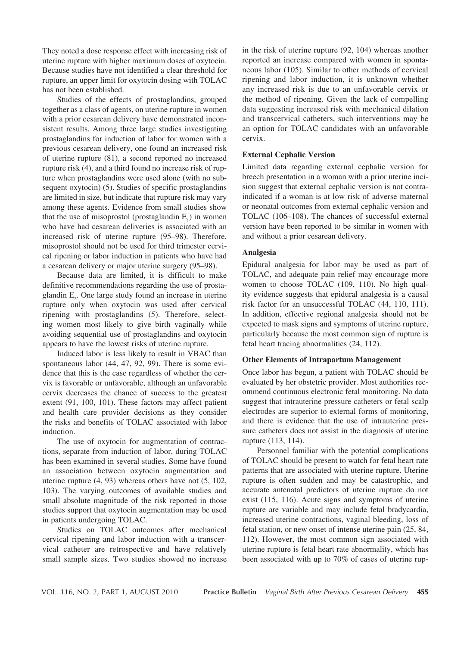They noted a dose response effect with increasing risk of uterine rupture with higher maximum doses of oxytocin. Because studies have not identified a clear threshold for rupture, an upper limit for oxytocin dosing with TOLAC has not been established.

Studies of the effects of prostaglandins, grouped together as a class of agents, on uterine rupture in women with a prior cesarean delivery have demonstrated inconsistent results. Among three large studies investigating prostaglandins for induction of labor for women with a previous cesarean delivery, one found an increased risk of uterine rupture (81), a second reported no increased rupture risk (4), and a third found no increase risk of rupture when prostaglandins were used alone (with no subsequent oxytocin) (5). Studies of specific prostaglandins are limited in size, but indicate that rupture risk may vary among these agents. Evidence from small studies show that the use of misoprostol (prostaglandin  $E_1$ ) in women who have had cesarean deliveries is associated with an increased risk of uterine rupture (95–98). Therefore, misoprostol should not be used for third trimester cervical ripening or labor induction in patients who have had a cesarean delivery or major uterine surgery (95–98).

Because data are limited, it is difficult to make definitive recommendations regarding the use of prostaglandin  $E_2$ . One large study found an increase in uterine rupture only when oxytocin was used after cervical ripening with prostaglandins (5). Therefore, selecting women most likely to give birth vaginally while avoiding sequential use of prostaglandins and oxytocin appears to have the lowest risks of uterine rupture.

Induced labor is less likely to result in VBAC than spontaneous labor (44, 47, 92, 99). There is some evidence that this is the case regardless of whether the cervix is favorable or unfavorable, although an unfavorable cervix decreases the chance of success to the greatest extent (91, 100, 101). These factors may affect patient and health care provider decisions as they consider the risks and benefits of TOLAC associated with labor induction.

The use of oxytocin for augmentation of contractions, separate from induction of labor, during TOLAC has been examined in several studies. Some have found an association between oxytocin augmentation and uterine rupture (4, 93) whereas others have not (5, 102, 103). The varying outcomes of available studies and small absolute magnitude of the risk reported in those studies support that oxytocin augmentation may be used in patients undergoing TOLAC.

Studies on TOLAC outcomes after mechanical cervical ripening and labor induction with a transcervical catheter are retrospective and have relatively small sample sizes. Two studies showed no increase

in the risk of uterine rupture (92, 104) whereas another reported an increase compared with women in spontaneous labor (105). Similar to other methods of cervical ripening and labor induction, it is unknown whether any increased risk is due to an unfavorable cervix or the method of ripening. Given the lack of compelling data suggesting increased risk with mechanical dilation and transcervical catheters, such interventions may be an option for TOLAC candidates with an unfavorable cervix.

#### **External Cephalic Version**

Limited data regarding external cephalic version for breech presentation in a woman with a prior uterine incision suggest that external cephalic version is not contraindicated if a woman is at low risk of adverse maternal or neonatal outcomes from external cephalic version and TOLAC (106–108). The chances of successful external version have been reported to be similar in women with and without a prior cesarean delivery.

#### **Analgesia**

Epidural analgesia for labor may be used as part of TOLAC, and adequate pain relief may encourage more women to choose TOLAC (109, 110). No high quality evidence suggests that epidural analgesia is a causal risk factor for an unsuccessful TOLAC (44, 110, 111). In addition, effective regional analgesia should not be expected to mask signs and symptoms of uterine rupture, particularly because the most common sign of rupture is fetal heart tracing abnormalities (24, 112).

#### **Other Elements of Intrapartum Management**

Once labor has begun, a patient with TOLAC should be evaluated by her obstetric provider. Most authorities recommend continuous electronic fetal monitoring. No data suggest that intrauterine pressure catheters or fetal scalp electrodes are superior to external forms of monitoring, and there is evidence that the use of intrauterine pressure catheters does not assist in the diagnosis of uterine rupture (113, 114).

Personnel familiar with the potential complications of TOLAC should be present to watch for fetal heart rate patterns that are associated with uterine rupture. Uterine rupture is often sudden and may be catastrophic, and accurate antenatal predictors of uterine rupture do not exist (115, 116). Acute signs and symptoms of uterine rupture are variable and may include fetal bradycardia, increased uterine contractions, vaginal bleeding, loss of fetal station, or new onset of intense uterine pain (25, 84, 112). However, the most common sign associated with uterine rupture is fetal heart rate abnormality, which has been associated with up to 70% of cases of uterine rup-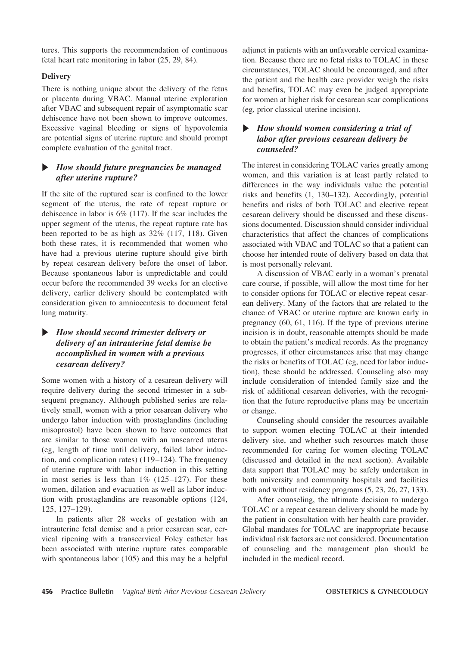tures. This supports the recommendation of continuous fetal heart rate monitoring in labor (25, 29, 84).

### **Delivery**

There is nothing unique about the delivery of the fetus or placenta during VBAC. Manual uterine exploration after VBAC and subsequent repair of asymptomatic scar dehiscence have not been shown to improve outcomes. Excessive vaginal bleeding or signs of hypovolemia are potential signs of uterine rupture and should prompt complete evaluation of the genital tract.

# *How should future pregnancies be managed after uterine rupture?*

If the site of the ruptured scar is confined to the lower segment of the uterus, the rate of repeat rupture or dehiscence in labor is 6% (117). If the scar includes the upper segment of the uterus, the repeat rupture rate has been reported to be as high as 32% (117, 118). Given both these rates, it is recommended that women who have had a previous uterine rupture should give birth by repeat cesarean delivery before the onset of labor. Because spontaneous labor is unpredictable and could occur before the recommended 39 weeks for an elective delivery, earlier delivery should be contemplated with consideration given to amniocentesis to document fetal lung maturity.

# *How should second trimester delivery or delivery of an intrauterine fetal demise be accomplished in women with a previous cesarean delivery?*

Some women with a history of a cesarean delivery will require delivery during the second trimester in a subsequent pregnancy. Although published series are relatively small, women with a prior cesarean delivery who undergo labor induction with prostaglandins (including misoprostol) have been shown to have outcomes that are similar to those women with an unscarred uterus (eg, length of time until delivery, failed labor induction, and complication rates) (119–124). The frequency of uterine rupture with labor induction in this setting in most series is less than  $1\%$  (125–127). For these women, dilation and evacuation as well as labor induction with prostaglandins are reasonable options (124, 125, 127–129).

In patients after 28 weeks of gestation with an intrauterine fetal demise and a prior cesarean scar, cervical ripening with a transcervical Foley catheter has been associated with uterine rupture rates comparable with spontaneous labor (105) and this may be a helpful

adjunct in patients with an unfavorable cervical examination. Because there are no fetal risks to TOLAC in these circumstances, TOLAC should be encouraged, and after the patient and the health care provider weigh the risks and benefits, TOLAC may even be judged appropriate for women at higher risk for cesarean scar complications (eg, prior classical uterine incision).

# *How should women considering a trial of labor after previous cesarean delivery be counseled?*

The interest in considering TOLAC varies greatly among women, and this variation is at least partly related to differences in the way individuals value the potential risks and benefits (1, 130–132). Accordingly, potential benefits and risks of both TOLAC and elective repeat cesarean delivery should be discussed and these discussions documented. Discussion should consider individual characteristics that affect the chances of complications associated with VBAC and TOLAC so that a patient can choose her intended route of delivery based on data that is most personally relevant.

A discussion of VBAC early in a woman's prenatal care course, if possible, will allow the most time for her to consider options for TOLAC or elective repeat cesarean delivery. Many of the factors that are related to the chance of VBAC or uterine rupture are known early in pregnancy (60, 61, 116). If the type of previous uterine incision is in doubt, reasonable attempts should be made to obtain the patient's medical records. As the pregnancy progresses, if other circumstances arise that may change the risks or benefits of TOLAC (eg, need for labor induction), these should be addressed. Counseling also may include consideration of intended family size and the risk of additional cesarean deliveries, with the recognition that the future reproductive plans may be uncertain or change.

Counseling should consider the resources available to support women electing TOLAC at their intended delivery site, and whether such resources match those recommended for caring for women electing TOLAC (discussed and detailed in the next section). Available data support that TOLAC may be safely undertaken in both university and community hospitals and facilities with and without residency programs  $(5, 23, 26, 27, 133)$ .

After counseling, the ultimate decision to undergo TOLAC or a repeat cesarean delivery should be made by the patient in consultation with her health care provider. Global mandates for TOLAC are inappropriate because individual risk factors are not considered. Documentation of counseling and the management plan should be included in the medical record.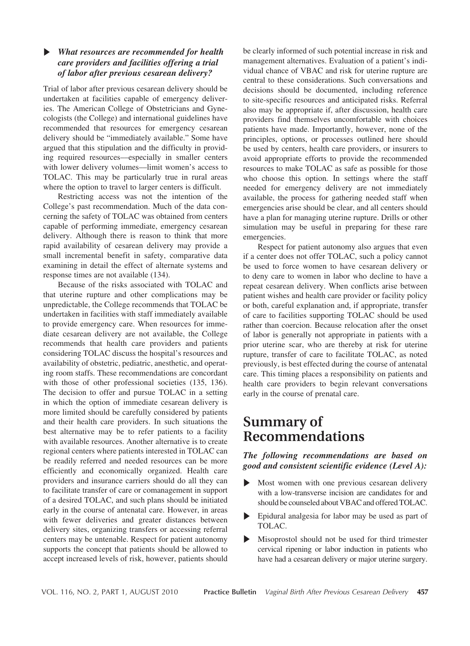# *What resources are recommended for health care providers and facilities offering a trial of labor after previous cesarean delivery?*

Trial of labor after previous cesarean delivery should be undertaken at facilities capable of emergency deliveries. The American College of Obstetricians and Gynecologists (the College) and international guidelines have recommended that resources for emergency cesarean delivery should be "immediately available." Some have argued that this stipulation and the difficulty in providing required resources––especially in smaller centers with lower delivery volumes—limit women's access to TOLAC. This may be particularly true in rural areas where the option to travel to larger centers is difficult.

Restricting access was not the intention of the College's past recommendation. Much of the data concerning the safety of TOLAC was obtained from centers capable of performing immediate, emergency cesarean delivery. Although there is reason to think that more rapid availability of cesarean delivery may provide a small incremental benefit in safety, comparative data examining in detail the effect of alternate systems and response times are not available (134).

Because of the risks associated with TOLAC and that uterine rupture and other complications may be unpredictable, the College recommends that TOLAC be undertaken in facilities with staff immediately available to provide emergency care. When resources for immediate cesarean delivery are not available, the College recommends that health care providers and patients considering TOLAC discuss the hospital's resources and availability of obstetric, pediatric, anesthetic, and operating room staffs. These recommendations are concordant with those of other professional societies  $(135, 136)$ . The decision to offer and pursue TOLAC in a setting in which the option of immediate cesarean delivery is more limited should be carefully considered by patients and their health care providers. In such situations the best alternative may be to refer patients to a facility with available resources. Another alternative is to create regional centers where patients interested in TOLAC can be readily referred and needed resources can be more efficiently and economically organized. Health care providers and insurance carriers should do all they can to facilitate transfer of care or comanagement in support of a desired TOLAC, and such plans should be initiated early in the course of antenatal care. However, in areas with fewer deliveries and greater distances between delivery sites, organizing transfers or accessing referral centers may be untenable. Respect for patient autonomy supports the concept that patients should be allowed to accept increased levels of risk, however, patients should

be clearly informed of such potential increase in risk and management alternatives. Evaluation of a patient's individual chance of VBAC and risk for uterine rupture are central to these considerations. Such conversations and decisions should be documented, including reference to site-specific resources and anticipated risks. Referral also may be appropriate if, after discussion, health care providers find themselves uncomfortable with choices patients have made. Importantly, however, none of the principles, options, or processes outlined here should be used by centers, health care providers, or insurers to avoid appropriate efforts to provide the recommended resources to make TOLAC as safe as possible for those who choose this option. In settings where the staff needed for emergency delivery are not immediately available, the process for gathering needed staff when emergencies arise should be clear, and all centers should have a plan for managing uterine rupture. Drills or other simulation may be useful in preparing for these rare emergencies.

Respect for patient autonomy also argues that even if a center does not offer TOLAC, such a policy cannot be used to force women to have cesarean delivery or to deny care to women in labor who decline to have a repeat cesarean delivery. When conflicts arise between patient wishes and health care provider or facility policy or both, careful explanation and, if appropriate, transfer of care to facilities supporting TOLAC should be used rather than coercion. Because relocation after the onset of labor is generally not appropriate in patients with a prior uterine scar, who are thereby at risk for uterine rupture, transfer of care to facilitate TOLAC, as noted previously, is best effected during the course of antenatal care. This timing places a responsibility on patients and health care providers to begin relevant conversations early in the course of prenatal care.

# **Summary of Recommendations**

*The following recommendations are based on good and consistent scientific evidence (Level A):* 

- Most women with one previous cesarean delivery with a low-transverse incision are candidates for and should be counseled about VBAC and offered TOLAC.
- Epidural analgesia for labor may be used as part of TOLAC.
- $\blacktriangleright$ Misoprostol should not be used for third trimester cervical ripening or labor induction in patients who have had a cesarean delivery or major uterine surgery.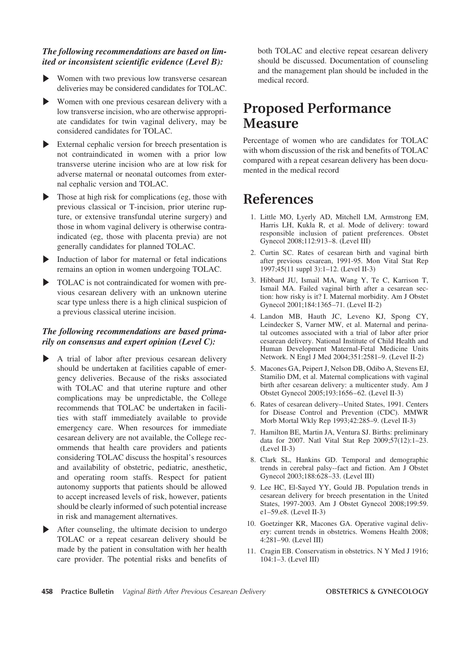### *The following recommendations are based on limited or inconsistent scientific evidence (Level B):*

- Women with two previous low transverse cesarean deliveries may be considered candidates for TOLAC.
- Women with one previous cesarean delivery with a low transverse incision, who are otherwise appropriate candidates for twin vaginal delivery, may be considered candidates for TOLAC.
- External cephalic version for breech presentation is not contraindicated in women with a prior low transverse uterine incision who are at low risk for adverse maternal or neonatal outcomes from external cephalic version and TOLAC.
- Those at high risk for complications (eg, those with previous classical or T-incision, prior uterine rupture, or extensive transfundal uterine surgery) and those in whom vaginal delivery is otherwise contraindicated (eg, those with placenta previa) are not generally candidates for planned TOLAC.
- Induction of labor for maternal or fetal indications remains an option in women undergoing TOLAC.
- TOLAC is not contraindicated for women with previous cesarean delivery with an unknown uterine scar type unless there is a high clinical suspicion of a previous classical uterine incision.

# *The following recommendations are based primarily on consensus and expert opinion (Level C):*

- A trial of labor after previous cesarean delivery should be undertaken at facilities capable of emergency deliveries. Because of the risks associated with TOLAC and that uterine rupture and other complications may be unpredictable, the College recommends that TOLAC be undertaken in facilities with staff immediately available to provide emergency care. When resources for immediate cesarean delivery are not available, the College recommends that health care providers and patients considering TOLAC discuss the hospital's resources and availability of obstetric, pediatric, anesthetic, and operating room staffs. Respect for patient autonomy supports that patients should be allowed to accept increased levels of risk, however, patients should be clearly informed of such potential increase in risk and management alternatives.
- After counseling, the ultimate decision to undergo TOLAC or a repeat cesarean delivery should be made by the patient in consultation with her health care provider. The potential risks and benefits of

both TOLAC and elective repeat cesarean delivery should be discussed. Documentation of counseling and the management plan should be included in the medical record.

# **Proposed Performance Measure**

Percentage of women who are candidates for TOLAC with whom discussion of the risk and benefits of TOLAC compared with a repeat cesarean delivery has been documented in the medical record

# **References**

- 1. Little MO, Lyerly AD, Mitchell LM, Armstrong EM, Harris LH, Kukla R, et al. Mode of delivery: toward responsible inclusion of patient preferences. Obstet Gynecol 2008;112:913–8. (Level III)
- 2. Curtin SC. Rates of cesarean birth and vaginal birth after previous cesarean, 1991-95. Mon Vital Stat Rep 1997;45(11 suppl 3):1–12. (Level II-3)
- 3. Hibbard JU, Ismail MA, Wang Y, Te C, Karrison T, Ismail MA. Failed vaginal birth after a cesarean section: how risky is it? I. Maternal morbidity. Am J Obstet Gynecol 2001;184:1365–71. (Level II-2)
- 4. Landon MB, Hauth JC, Leveno KJ, Spong CY, Leindecker S, Varner MW, et al. Maternal and perinatal outcomes associated with a trial of labor after prior cesarean delivery. National Institute of Child Health and Human Development Maternal-Fetal Medicine Units Network. N Engl J Med 2004;351:2581–9. (Level II-2)
- 5. Macones GA, Peipert J, Nelson DB, Odibo A, Stevens EJ, Stamilio DM, et al. Maternal complications with vaginal birth after cesarean delivery: a multicenter study. Am J Obstet Gynecol 2005;193:1656–62. (Level II-3)
- 6. Rates of cesarean delivery--United States, 1991. Centers for Disease Control and Prevention (CDC). MMWR Morb Mortal Wkly Rep 1993;42:285–9. (Level II-3)
- 7. Hamilton BE, Martin JA, Ventura SJ. Births: preliminary data for 2007. Natl Vital Stat Rep 2009;57(12):1–23. (Level II-3)
- 8. Clark SL, Hankins GD. Temporal and demographic trends in cerebral palsy--fact and fiction. Am J Obstet Gynecol 2003;188:628–33. (Level III)
- 9. Lee HC, El-Sayed YY, Gould JB. Population trends in cesarean delivery for breech presentation in the United States, 1997-2003. Am J Obstet Gynecol 2008;199:59. e1–59.e8. (Level II-3)
- 10. Goetzinger KR, Macones GA. Operative vaginal delivery: current trends in obstetrics. Womens Health 2008; 4:281–90. (Level III)
- 11. Cragin EB. Conservatism in obstetrics. N Y Med J 1916; 104:1–3. (Level III)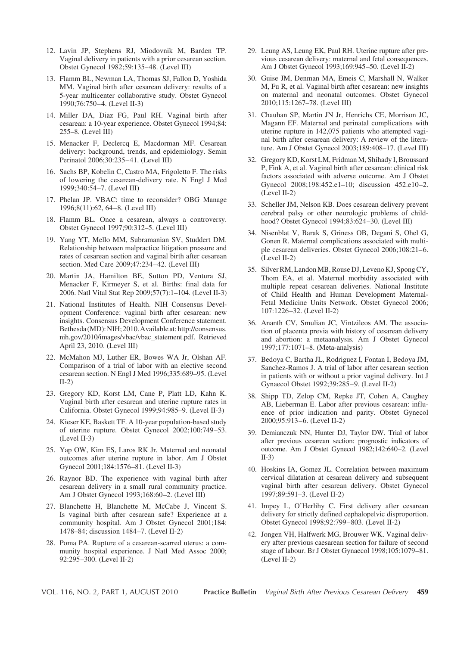- 12. Lavin JP, Stephens RJ, Miodovnik M, Barden TP. Vaginal delivery in patients with a prior cesarean section. Obstet Gynecol 1982;59:135–48. (Level III)
- 13. Flamm BL, Newman LA, Thomas SJ, Fallon D, Yoshida MM. Vaginal birth after cesarean delivery: results of a 5-year multicenter collaborative study. Obstet Gynecol 1990;76:750–4. (Level II-3)
- 14. Miller DA, Diaz FG, Paul RH. Vaginal birth after cesarean: a 10-year experience. Obstet Gynecol 1994;84: 255–8. (Level III)
- 15. Menacker F, Declercq E, Macdorman MF. Cesarean delivery: background, trends, and epidemiology. Semin Perinatol 2006;30:235–41. (Level III)
- 16. Sachs BP, Kobelin C, Castro MA, Frigoletto F. The risks of lowering the cesarean-delivery rate. N Engl J Med 1999;340:54–7. (Level III)
- 17. Phelan JP. VBAC: time to reconsider? OBG Manage 1996;8(11):62, 64–8. (Level III)
- 18. Flamm BL. Once a cesarean, always a controversy. Obstet Gynecol 1997;90:312–5. (Level III)
- 19. Yang YT, Mello MM, Subramanian SV, Studdert DM. Relationship between malpractice litigation pressure and rates of cesarean section and vaginal birth after cesarean section. Med Care 2009;47:234–42. (Level III)
- 20. Martin JA, Hamilton BE, Sutton PD, Ventura SJ, Menacker F, Kirmeyer S, et al. Births: final data for 2006. Natl Vital Stat Rep 2009;57(7):1–104. (Level II-3)
- 21. National Institutes of Health. NIH Consensus Development Conference: vaginal birth after cesarean: new insights. Consensus Development Conference statement. Bethesda (MD): NIH; 2010. Available at: http://consensus. nih.gov/2010/images/vbac/vbac\_statement.pdf. Retrieved April 23, 2010. (Level III)
- 22. McMahon MJ, Luther ER, Bowes WA Jr, Olshan AF. Comparison of a trial of labor with an elective second cesarean section. N Engl J Med 1996;335:689–95. (Level II-2)
- 23. Gregory KD, Korst LM, Cane P, Platt LD, Kahn K. Vaginal birth after cesarean and uterine rupture rates in California. Obstet Gynecol 1999;94:985–9. (Level II-3)
- 24. Kieser KE, Baskett TF. A 10-year population-based study of uterine rupture. Obstet Gynecol 2002;100:749–53. (Level II-3)
- 25. Yap OW, Kim ES, Laros RK Jr. Maternal and neonatal outcomes after uterine rupture in labor. Am J Obstet Gynecol 2001;184:1576–81. (Level II-3)
- 26. Raynor BD. The experience with vaginal birth after cesarean delivery in a small rural community practice. Am J Obstet Gynecol 1993;168:60–2. (Level III)
- 27. Blanchette H, Blanchette M, McCabe J, Vincent S. Is vaginal birth after cesarean safe? Experience at a community hospital. Am J Obstet Gynecol 2001;184: 1478–84; discussion 1484–7. (Level II-2)
- 28. Poma PA. Rupture of a cesarean-scarred uterus: a community hospital experience. J Natl Med Assoc 2000; 92:295–300. (Level II-2)
- 29. Leung AS, Leung EK, Paul RH. Uterine rupture after previous cesarean delivery: maternal and fetal consequences. Am J Obstet Gynecol 1993;169:945–50. (Level II-2)
- 30. Guise JM, Denman MA, Emeis C, Marshall N, Walker M, Fu R, et al. Vaginal birth after cesarean: new insights on maternal and neonatal outcomes. Obstet Gynecol 2010;115:1267–78. (Level III)
- 31. Chauhan SP, Martin JN Jr, Henrichs CE, Morrison JC, Magann EF. Maternal and perinatal complications with uterine rupture in 142,075 patients who attempted vaginal birth after cesarean delivery: A review of the literature. Am J Obstet Gynecol 2003;189:408–17. (Level III)
- 32. Gregory KD, Korst LM, Fridman M, Shihady I, Broussard P, Fink A, et al. Vaginal birth after cesarean: clinical risk factors associated with adverse outcome. Am J Obstet Gynecol 2008;198:452.e1–10; discussion 452.e10–2. (Level II-2)
- 33. Scheller JM, Nelson KB. Does cesarean delivery prevent cerebral palsy or other neurologic problems of childhood? Obstet Gynecol 1994;83:624–30. (Level III)
- 34. Nisenblat V, Barak S, Griness OB, Degani S, Ohel G, Gonen R. Maternal complications associated with multiple cesarean deliveries. Obstet Gynecol 2006;108:21–6. (Level II-2)
- 35. Silver RM, Landon MB, Rouse DJ, Leveno KJ, Spong CY, Thom EA, et al. Maternal morbidity associated with multiple repeat cesarean deliveries. National Institute of Child Health and Human Development Maternal-Fetal Medicine Units Network. Obstet Gynecol 2006; 107:1226–32. (Level II-2)
- 36. Ananth CV, Smulian JC, Vintzileos AM. The association of placenta previa with history of cesarean delivery and abortion: a metaanalysis. Am J Obstet Gynecol 1997;177:1071–8. (Meta-analysis)
- 37. Bedoya C, Bartha JL, Rodriguez I, Fontan I, Bedoya JM, Sanchez-Ramos J. A trial of labor after cesarean section in patients with or without a prior vaginal delivery. Int J Gynaecol Obstet 1992;39:285–9. (Level II-2)
- 38. Shipp TD, Zelop CM, Repke JT, Cohen A, Caughey AB, Lieberman E. Labor after previous cesarean: influence of prior indication and parity. Obstet Gynecol 2000;95:913–6. (Level II-2)
- 39. Demianczuk NN, Hunter DJ, Taylor DW. Trial of labor after previous cesarean section: prognostic indicators of outcome. Am J Obstet Gynecol 1982;142:640–2. (Level  $II-3)$
- 40. Hoskins IA, Gomez JL. Correlation between maximum cervical dilatation at cesarean delivery and subsequent vaginal birth after cesarean delivery. Obstet Gynecol 1997;89:591–3. (Level II-2)
- 41. Impey L, O'Herlihy C. First delivery after cesarean delivery for strictly defined cephalopelvic disproportion. Obstet Gynecol 1998;92:799–803. (Level II-2)
- 42. Jongen VH, Halfwerk MG, Brouwer WK. Vaginal delivery after previous caesarean section for failure of second stage of labour. Br J Obstet Gynaecol 1998;105:1079–81. (Level II-2)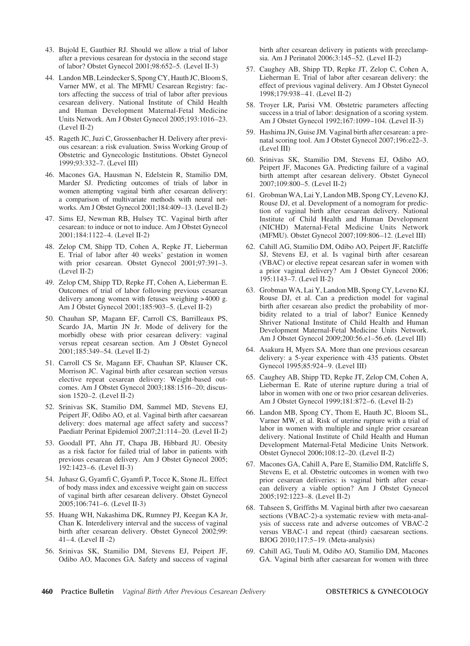- 43. Bujold E, Gauthier RJ. Should we allow a trial of labor after a previous cesarean for dystocia in the second stage of labor? Obstet Gynecol 2001;98:652–5. (Level II-3)
- 44. Landon MB, Leindecker S, Spong CY, Hauth JC, Bloom S, Varner MW, et al. The MFMU Cesarean Registry: factors affecting the success of trial of labor after previous cesarean delivery. National Institute of Child Health and Human Development Maternal-Fetal Medicine Units Network. Am J Obstet Gynecol 2005;193:1016–23. (Level II-2)
- 45. Rageth JC, Juzi C, Grossenbacher H. Delivery after previous cesarean: a risk evaluation. Swiss Working Group of Obstetric and Gynecologic Institutions. Obstet Gynecol 1999;93:332–7. (Level III)
- 46. Macones GA, Hausman N, Edelstein R, Stamilio DM, Marder SJ. Predicting outcomes of trials of labor in women attempting vaginal birth after cesarean delivery: a comparison of multivariate methods with neural networks. Am J Obstet Gynecol 2001;184:409–13. (Level II-2)
- 47. Sims EJ, Newman RB, Hulsey TC. Vaginal birth after cesarean: to induce or not to induce. Am J Obstet Gynecol 2001;184:1122–4. (Level II-2)
- 48. Zelop CM, Shipp TD, Cohen A, Repke JT, Lieberman E. Trial of labor after 40 weeks' gestation in women with prior cesarean. Obstet Gynecol 2001;97:391–3. (Level II-2)
- 49. Zelop CM, Shipp TD, Repke JT, Cohen A, Lieberman E. Outcomes of trial of labor following previous cesarean delivery among women with fetuses weighing >4000 g. Am J Obstet Gynecol 2001;185:903–5. (Level II-2)
- 50. Chauhan SP, Magann EF, Carroll CS, Barrilleaux PS, Scardo JA, Martin JN Jr. Mode of delivery for the morbidly obese with prior cesarean delivery: vaginal versus repeat cesarean section. Am J Obstet Gynecol 2001;185:349–54. (Level II-2)
- 51. Carroll CS Sr, Magann EF, Chauhan SP, Klauser CK, Morrison JC. Vaginal birth after cesarean section versus elective repeat cesarean delivery: Weight-based outcomes. Am J Obstet Gynecol 2003;188:1516–20; discussion 1520–2. (Level II-2)
- 52. Srinivas SK, Stamilio DM, Sammel MD, Stevens EJ, Peipert JF, Odibo AO, et al. Vaginal birth after caesarean delivery: does maternal age affect safety and success? Paediatr Perinat Epidemiol 2007;21:114–20. (Level II-2)
- 53. Goodall PT, Ahn JT, Chapa JB, Hibbard JU. Obesity as a risk factor for failed trial of labor in patients with previous cesarean delivery. Am J Obstet Gynecol 2005; 192:1423–6. (Level II-3)
- 54. Juhasz G, Gyamfi C, Gyamfi P, Tocce K, Stone JL. Effect of body mass index and excessive weight gain on success of vaginal birth after cesarean delivery. Obstet Gynecol 2005;106:741–6. (Level II-3)
- 55. Huang WH, Nakashima DK, Rumney PJ, Keegan KA Jr, Chan K. Interdelivery interval and the success of vaginal birth after cesarean delivery. Obstet Gynecol 2002;99: 41–4. (Level II -2)
- 56. Srinivas SK, Stamilio DM, Stevens EJ, Peipert JF, Odibo AO, Macones GA. Safety and success of vaginal

birth after cesarean delivery in patients with preeclampsia. Am J Perinatol 2006;3:145–52. (Level II-2)

- 57. Caughey AB, Shipp TD, Repke JT, Zelop C, Cohen A, Lieherman E. Trial of labor after cesarean delivery: the effect of previous vaginal delivery. Am J Obstet Gynecol 1998;179:938–41. (Level II-2)
- 58. Troyer LR, Parisi VM. Obstetric parameters affecting success in a trial of labor: designation of a scoring system. Am J Obstet Gynecol 1992;167:1099–104. (Level II-3)
- 59. Hashima JN, Guise JM. Vaginal birth after cesarean: a prenatal scoring tool. Am J Obstet Gynecol 2007;196:e22–3. (Level III)
- 60. Srinivas SK, Stamilio DM, Stevens EJ, Odibo AO, Peipert JF, Macones GA. Predicting failure of a vaginal birth attempt after cesarean delivery. Obstet Gynecol 2007;109:800–5. (Level II-2)
- 61. Grobman WA, Lai Y, Landon MB, Spong CY, Leveno KJ, Rouse DJ, et al. Development of a nomogram for prediction of vaginal birth after cesarean delivery. National Institute of Child Health and Human Development (NICHD) Maternal-Fetal Medicine Units Network (MFMU). Obstet Gynecol 2007;109:806–12. (Level III)
- 62. Cahill AG, Stamilio DM, Odibo AO, Peipert JF, Ratcliffe SJ, Stevens EJ, et al. Is vaginal birth after cesarean (VBAC) or elective repeat cesarean safer in women with a prior vaginal delivery? Am J Obstet Gynecol 2006; 195:1143–7. (Level II-2)
- 63. Grobman WA, Lai Y, Landon MB, Spong CY, Leveno KJ, Rouse DJ, et al. Can a prediction model for vaginal birth after cesarean also predict the probability of morbidity related to a trial of labor? Eunice Kennedy Shriver National Institute of Child Health and Human Development Maternal-Fetal Medicine Units Network. Am J Obstet Gynecol 2009;200:56.e1–56.e6. (Level III)
- 64. Asakura H, Myers SA. More than one previous cesarean delivery: a 5-year experience with 435 patients. Obstet Gynecol 1995;85:924–9. (Level III)
- 65. Caughey AB, Shipp TD, Repke JT, Zelop CM, Cohen A, Lieberman E. Rate of uterine rupture during a trial of labor in women with one or two prior cesarean deliveries. Am J Obstet Gynecol 1999;181:872–6. (Level II-2)
- 66. Landon MB, Spong CY, Thom E, Hauth JC, Bloom SL, Varner MW, et al. Risk of uterine rupture with a trial of labor in women with multiple and single prior cesarean delivery. National Institute of Child Health and Human Development Maternal-Fetal Medicine Units Network. Obstet Gynecol 2006;108:12–20. (Level II-2)
- 67. Macones GA, Cahill A, Pare E, Stamilio DM, Ratcliffe S, Stevens E, et al. Obstetric outcomes in women with two prior cesarean deliveries: is vaginal birth after cesarean delivery a viable option? Am J Obstet Gynecol 2005;192:1223–8. (Level II-2)
- 68. Tahseen S, Griffiths M. Vaginal birth after two caesarean sections (VBAC-2)-a systematic review with meta-analysis of success rate and adverse outcomes of VBAC-2 versus VBAC-1 and repeat (third) caesarean sections. BJOG 2010;117:5–19. (Meta-analysis)
- 69. Cahill AG, Tuuli M, Odibo AO, Stamilio DM, Macones GA. Vaginal birth after caesarean for women with three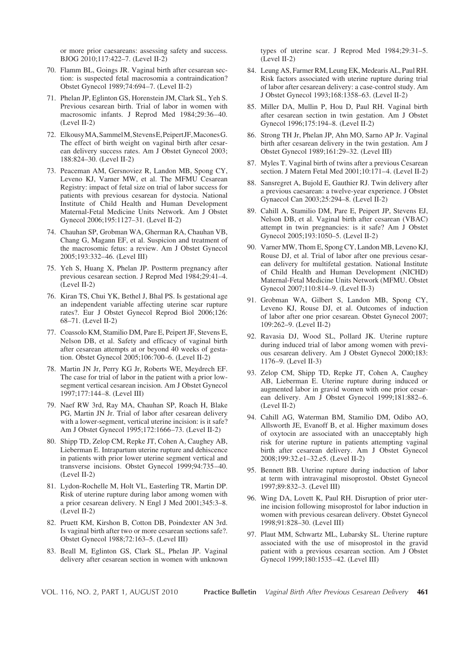or more prior caesareans: assessing safety and success. BJOG 2010;117:422–7. (Level II-2)

- 70. Flamm BL, Goings JR. Vaginal birth after cesarean section: is suspected fetal macrosomia a contraindication? Obstet Gynecol 1989;74:694–7. (Level II-2)
- 71. Phelan JP, Eglinton GS, Horenstein JM, Clark SL, Yeh S. Previous cesarean birth. Trial of labor in women with macrosomic infants. J Reprod Med 1984;29:36–40. (Level II-2)
- 72. Elkousy MA, Sammel M, Stevens E, Peipert JF, Macones G. The effect of birth weight on vaginal birth after cesarean delivery success rates. Am J Obstet Gynecol 2003; 188:824–30. (Level II-2)
- 73. Peaceman AM, Gersnoviez R, Landon MB, Spong CY, Leveno KJ, Varner MW, et al. The MFMU Cesarean Registry: impact of fetal size on trial of labor success for patients with previous cesarean for dystocia. National Institute of Child Health and Human Development Maternal-Fetal Medicine Units Network. Am J Obstet Gynecol 2006;195:1127–31. (Level II-2)
- 74. Chauhan SP, Grobman WA, Gherman RA, Chauhan VB, Chang G, Magann EF, et al. Suspicion and treatment of the macrosomic fetus: a review. Am J Obstet Gynecol 2005;193:332–46. (Level III)
- 75. Yeh S, Huang X, Phelan JP. Postterm pregnancy after previous cesarean section. J Reprod Med 1984;29:41–4. (Level II-2)
- 76. Kiran TS, Chui YK, Bethel J, Bhal PS. Is gestational age an independent variable affecting uterine scar rupture rates?. Eur J Obstet Gynecol Reprod Biol 2006;126: 68–71. (Level II-2)
- 77. Coassolo KM, Stamilio DM, Pare E, Peipert JF, Stevens E, Nelson DB, et al. Safety and efficacy of vaginal birth after cesarean attempts at or beyond 40 weeks of gestation. Obstet Gynecol 2005;106:700–6. (Level II-2)
- 78. Martin JN Jr, Perry KG Jr, Roberts WE, Meydrech EF. The case for trial of labor in the patient with a prior lowsegment vertical cesarean incision. Am J Obstet Gynecol 1997;177:144–8. (Level III)
- 79. Naef RW 3rd, Ray MA, Chauhan SP, Roach H, Blake PG, Martin JN Jr. Trial of labor after cesarean delivery with a lower-segment, vertical uterine incision: is it safe? Am J Obstet Gynecol 1995;172:1666–73. (Level II-2)
- 80. Shipp TD, Zelop CM, Repke JT, Cohen A, Caughey AB, Lieberman E. Intrapartum uterine rupture and dehiscence in patients with prior lower uterine segment vertical and transverse incisions. Obstet Gynecol 1999;94:735–40. (Level II-2)
- 81. Lydon-Rochelle M, Holt VL, Easterling TR, Martin DP. Risk of uterine rupture during labor among women with a prior cesarean delivery. N Engl J Med 2001;345:3–8. (Level II-2)
- 82. Pruett KM, Kirshon B, Cotton DB, Poindexter AN 3rd. Is vaginal birth after two or more cesarean sections safe?. Obstet Gynecol 1988;72:163–5. (Level III)
- 83. Beall M, Eglinton GS, Clark SL, Phelan JP. Vaginal delivery after cesarean section in women with unknown

types of uterine scar. J Reprod Med 1984;29:31–5. (Level II-2)

- 84. Leung AS, Farmer RM, Leung EK, Medearis AL, Paul RH. Risk factors associated with uterine rupture during trial of labor after cesarean delivery: a case-control study. Am J Obstet Gynecol 1993;168:1358–63. (Level II-2)
- 85. Miller DA, Mullin P, Hou D, Paul RH. Vaginal birth after cesarean section in twin gestation. Am J Obstet Gynecol 1996;175:194–8. (Level II-2)
- 86. Strong TH Jr, Phelan JP, Ahn MO, Sarno AP Jr. Vaginal birth after cesarean delivery in the twin gestation. Am J Obstet Gynecol 1989;161:29–32. (Level III)
- 87. Myles T. Vaginal birth of twins after a previous Cesarean section. J Matern Fetal Med 2001;10:171–4. (Level II-2)
- 88. Sansregret A, Bujold E, Gauthier RJ. Twin delivery after a previous caesarean: a twelve-year experience. J Obstet Gynaecol Can 2003;25:294–8. (Level II-2)
- 89. Cahill A, Stamilio DM, Pare E, Peipert JP, Stevens EJ, Nelson DB, et al. Vaginal birth after cesarean (VBAC) attempt in twin pregnancies: is it safe? Am J Obstet Gynecol 2005;193:1050–5. (Level II-2)
- 90. Varner MW, Thom E, Spong CY, Landon MB, Leveno KJ, Rouse DJ, et al. Trial of labor after one previous cesarean delivery for multifetal gestation. National Institute of Child Health and Human Development (NICHD) Maternal-Fetal Medicine Units Network (MFMU. Obstet Gynecol 2007;110:814–9. (Level II-3)
- 91. Grobman WA, Gilbert S, Landon MB, Spong CY, Leveno KJ, Rouse DJ, et al. Outcomes of induction of labor after one prior cesarean. Obstet Gynecol 2007; 109:262–9. (Level II-2)
- 92. Ravasia DJ, Wood SL, Pollard JK. Uterine rupture during induced trial of labor among women with previous cesarean delivery. Am J Obstet Gynecol 2000;183: 1176–9. (Level II-3)
- 93. Zelop CM, Shipp TD, Repke JT, Cohen A, Caughey AB, Lieberman E. Uterine rupture during induced or augmented labor in gravid women with one prior cesarean delivery. Am J Obstet Gynecol 1999;181:882–6. (Level II-2)
- 94. Cahill AG, Waterman BM, Stamilio DM, Odibo AO, Allsworth JE, Evanoff B, et al. Higher maximum doses of oxytocin are associated with an unacceptably high risk for uterine rupture in patients attempting vaginal birth after cesarean delivery. Am J Obstet Gynecol 2008;199:32.e1–32.e5. (Level II-2)
- 95. Bennett BB. Uterine rupture during induction of labor at term with intravaginal misoprostol. Obstet Gynecol 1997;89:832–3. (Level III)
- 96. Wing DA, Lovett K, Paul RH. Disruption of prior uterine incision following misoprostol for labor induction in women with previous cesarean delivery. Obstet Gynecol 1998;91:828–30. (Level III)
- 97. Plaut MM, Schwartz ML, Lubarsky SL. Uterine rupture associated with the use of misoprostol in the gravid patient with a previous cesarean section. Am J Obstet Gynecol 1999;180:1535–42. (Level III)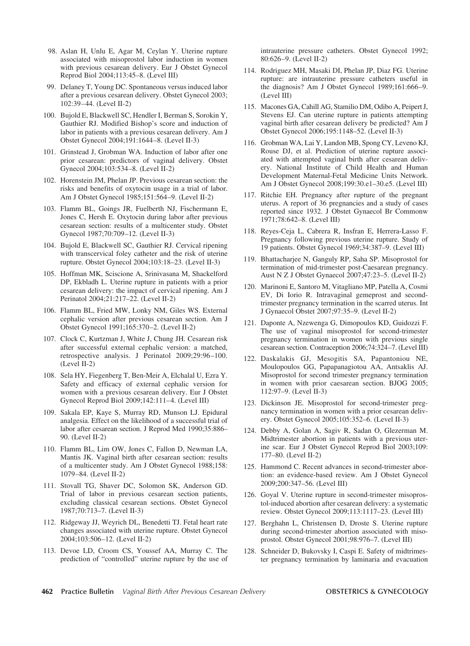- 98. Aslan H, Unlu E, Agar M, Ceylan Y. Uterine rupture associated with misoprostol labor induction in women with previous cesarean delivery. Eur J Obstet Gynecol Reprod Biol 2004;113:45–8. (Level III)
- 99. Delaney T, Young DC. Spontaneous versus induced labor after a previous cesarean delivery. Obstet Gynecol 2003; 102:39–44. (Level II-2)
- 100. Bujold E, Blackwell SC, Hendler I, Berman S, Sorokin Y, Gauthier RJ. Modified Bishop's score and induction of labor in patients with a previous cesarean delivery. Am J Obstet Gynecol 2004;191:1644–8. (Level II-3)
- 101. Grinstead J, Grobman WA. Induction of labor after one prior cesarean: predictors of vaginal delivery. Obstet Gynecol 2004;103:534–8. (Level II-2)
- 102. Horenstein JM, Phelan JP. Previous cesarean section: the risks and benefits of oxytocin usage in a trial of labor. Am J Obstet Gynecol 1985;151:564–9. (Level II-2)
- 103. Flamm BL, Goings JR, Fuelberth NJ, Fischermann E, Jones C, Hersh E. Oxytocin during labor after previous cesarean section: results of a multicenter study. Obstet Gynecol 1987;70:709–12. (Level II-3)
- 104. Bujold E, Blackwell SC, Gauthier RJ. Cervical ripening with transcervical foley catheter and the risk of uterine rupture. Obstet Gynecol 2004;103:18–23. (Level II-3)
- 105. Hoffman MK, Sciscione A, Srinivasana M, Shackelford DP, Ekbladh L. Uterine rupture in patients with a prior cesarean delivery: the impact of cervical ripening. Am J Perinatol 2004;21:217–22. (Level II-2)
- 106. Flamm BL, Fried MW, Lonky NM, Giles WS. External cephalic version after previous cesarean section. Am J Obstet Gynecol 1991;165:370–2. (Level II-2)
- 107. Clock C, Kurtzman J, White J, Chung JH. Cesarean risk after successful external cephalic version: a matched, retrospective analysis. J Perinatol 2009;29:96–100. (Level II-2)
- 108. Sela HY, Fiegenberg T, Ben-Meir A, Elchalal U, Ezra Y. Safety and efficacy of external cephalic version for women with a previous cesarean delivery. Eur J Obstet Gynecol Reprod Biol 2009;142:111–4. (Level III)
- 109. Sakala EP, Kaye S, Murray RD, Munson LJ. Epidural analgesia. Effect on the likelihood of a successful trial of labor after cesarean section. J Reprod Med 1990;35:886– 90. (Level II-2)
- 110. Flamm BL, Lim OW, Jones C, Fallon D, Newman LA, Mantis JK. Vaginal birth after cesarean section: results of a multicenter study. Am J Obstet Gynecol 1988;158: 1079–84. (Level II-2)
- 111. Stovall TG, Shaver DC, Solomon SK, Anderson GD. Trial of labor in previous cesarean section patients, excluding classical cesarean sections. Obstet Gynecol 1987;70:713–7. (Level II-3)
- 112. Ridgeway JJ, Weyrich DL, Benedetti TJ. Fetal heart rate changes associated with uterine rupture. Obstet Gynecol 2004;103:506–12. (Level II-2)
- 113. Devoe LD, Croom CS, Youssef AA, Murray C. The prediction of "controlled" uterine rupture by the use of

intrauterine pressure catheters. Obstet Gynecol 1992; 80:626–9. (Level II-2)

- 114. Rodriguez MH, Masaki DI, Phelan JP, Diaz FG. Uterine rupture: are intrauterine pressure catheters useful in the diagnosis? Am J Obstet Gynecol 1989;161:666–9. (Level III)
- 115. Macones GA, Cahill AG, Stamilio DM, Odibo A, Peipert J, Stevens EJ. Can uterine rupture in patients attempting vaginal birth after cesarean delivery be predicted? Am J Obstet Gynecol 2006;195:1148–52. (Level II-3)
- 116. Grobman WA, Lai Y, Landon MB, Spong CY, Leveno KJ, Rouse DJ, et al. Prediction of uterine rupture associated with attempted vaginal birth after cesarean delivery. National Institute of Child Health and Human Development Maternal-Fetal Medicine Units Network. Am J Obstet Gynecol 2008;199:30.e1–30.e5. (Level III)
- 117. Ritchie EH. Pregnancy after rupture of the pregnant uterus. A report of 36 pregnancies and a study of cases reported since 1932. J Obstet Gynaecol Br Commonw 1971;78:642–8. (Level III)
- 118. Reyes-Ceja L, Cabrera R, Insfran E, Herrera-Lasso F. Pregnancy following previous uterine rupture. Study of 19 patients. Obstet Gynecol 1969;34:387–9. (Level III)
- 119. Bhattacharjee N, Ganguly RP, Saha SP. Misoprostol for termination of mid-trimester post-Caesarean pregnancy. Aust N Z J Obstet Gynaecol 2007;47:23–5. (Level II-2)
- 120. Marinoni E, Santoro M, Vitagliano MP, Patella A, Cosmi EV, Di Iorio R. Intravaginal gemeprost and secondtrimester pregnancy termination in the scarred uterus. Int J Gynaecol Obstet 2007;97:35–9. (Level II-2)
- 121. Daponte A, Nzewenga G, Dimopoulos KD, Guidozzi F. The use of vaginal misoprostol for second-trimester pregnancy termination in women with previous single cesarean section. Contraception 2006;74:324–7. (Level III)
- 122. Daskalakis GJ, Mesogitis SA, Papantoniou NE, Moulopoulos GG, Papapanagiotou AA, Antsaklis AJ. Misoprostol for second trimester pregnancy termination in women with prior caesarean section. BJOG 2005; 112:97–9. (Level II-3)
- 123. Dickinson JE. Misoprostol for second-trimester pregnancy termination in women with a prior cesarean delivery. Obstet Gynecol 2005;105:352–6. (Level II-3)
- 124. Debby A, Golan A, Sagiv R, Sadan O, Glezerman M. Midtrimester abortion in patients with a previous uterine scar. Eur J Obstet Gynecol Reprod Biol 2003;109: 177–80. (Level II-2)
- 125. Hammond C. Recent advances in second-trimester abortion: an evidence-based review. Am J Obstet Gynecol 2009;200:347–56. (Level III)
- 126. Goyal V. Uterine rupture in second-trimester misoprostol-induced abortion after cesarean delivery: a systematic review. Obstet Gynecol 2009;113:1117–23. (Level III)
- 127. Berghahn L, Christensen D, Droste S. Uterine rupture during second-trimester abortion associated with misoprostol. Obstet Gynecol 2001;98:976–7. (Level III)
- 128. Schneider D, Bukovsky I, Caspi E. Safety of midtrimester pregnancy termination by laminaria and evacuation